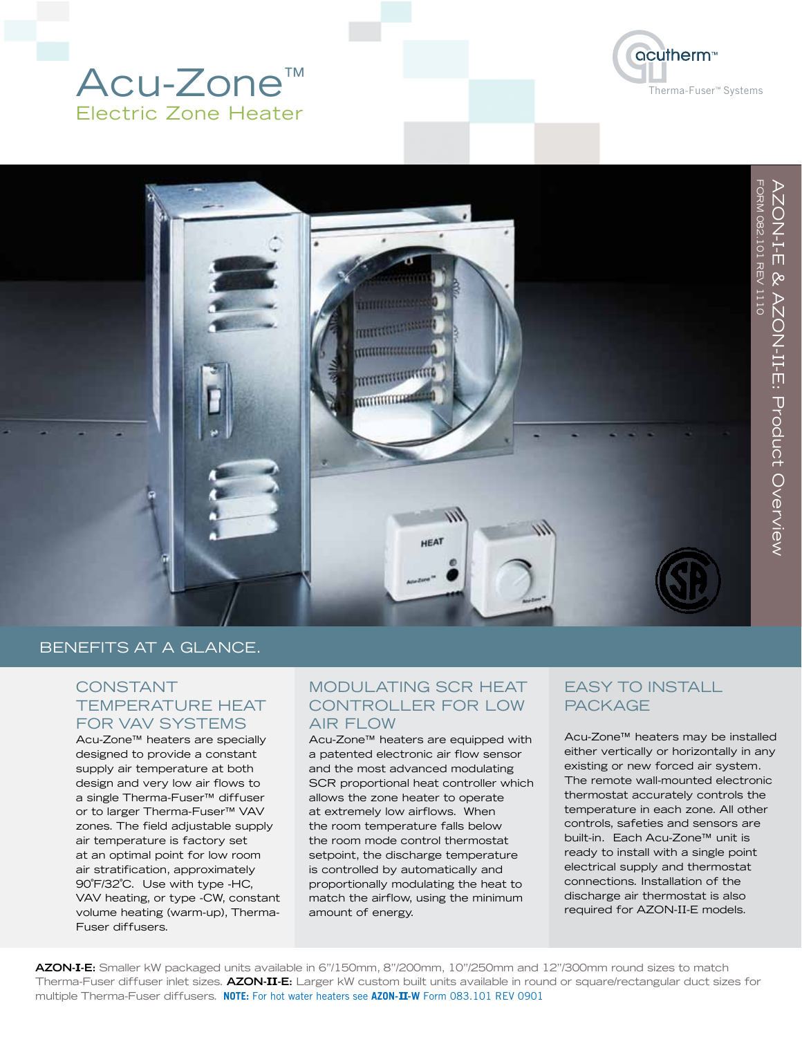## Acu-Zone™ Electric Zone Heater





AZON-

 $\equiv$ 

FORM 082.101 REV 11110

FORM 082.101 REV 1110

-E & AZON-

 $\equiv$ 

-E: Product Overview

#### BENEFITS AT A GLANCE.

#### CONSTANT TEMPERATURE HEAT FOR VAV SYSTEMS

Acu-Zone™ heaters are specially designed to provide a constant supply air temperature at both design and very low air flows to a single Therma-Fuser™ diffuser or to larger Therma-Fuser™ VAV zones. The field adjustable supply air temperature is factory set at an optimal point for low room air stratification, approximately 90˚F/32˚C. Use with type -HC, VAV heating, or type -CW, constant volume heating (warm-up), Therma-Fuser diffusers.

#### MODULATING SCR HEAT CONTROLLER FOR LOW AIR FLOW

Acu-Zone™ heaters are equipped with a patented electronic air flow sensor and the most advanced modulating SCR proportional heat controller which allows the zone heater to operate at extremely low airflows. When the room temperature falls below the room mode control thermostat setpoint, the discharge temperature is controlled by automatically and proportionally modulating the heat to match the airflow, using the minimum amount of energy.

#### **FASY TO INSTALL** PACKAGE

Acu-Zone™ heaters may be installed either vertically or horizontally in any existing or new forced air system. The remote wall-mounted electronic thermostat accurately controls the temperature in each zone. All other controls, safeties and sensors are built-in. Each Acu-Zone™ unit is ready to install with a single point electrical supply and thermostat connections. Installation of the discharge air thermostat is also required for AZON-II-E models.

**AZON-I-E:** Smaller kW packaged units available in 6"/150mm, 8"/200mm, 10"/250mm and 12"/300mm round sizes to match Therma-Fuser diffuser inlet sizes. **AZON-I I-E:** Larger kW custom built units available in round or square/rectangular duct sizes for multiple Therma-Fuser diffusers. **NOTE:** For hot water heaters see **AZON-II-W** Form 083.101 REV 0901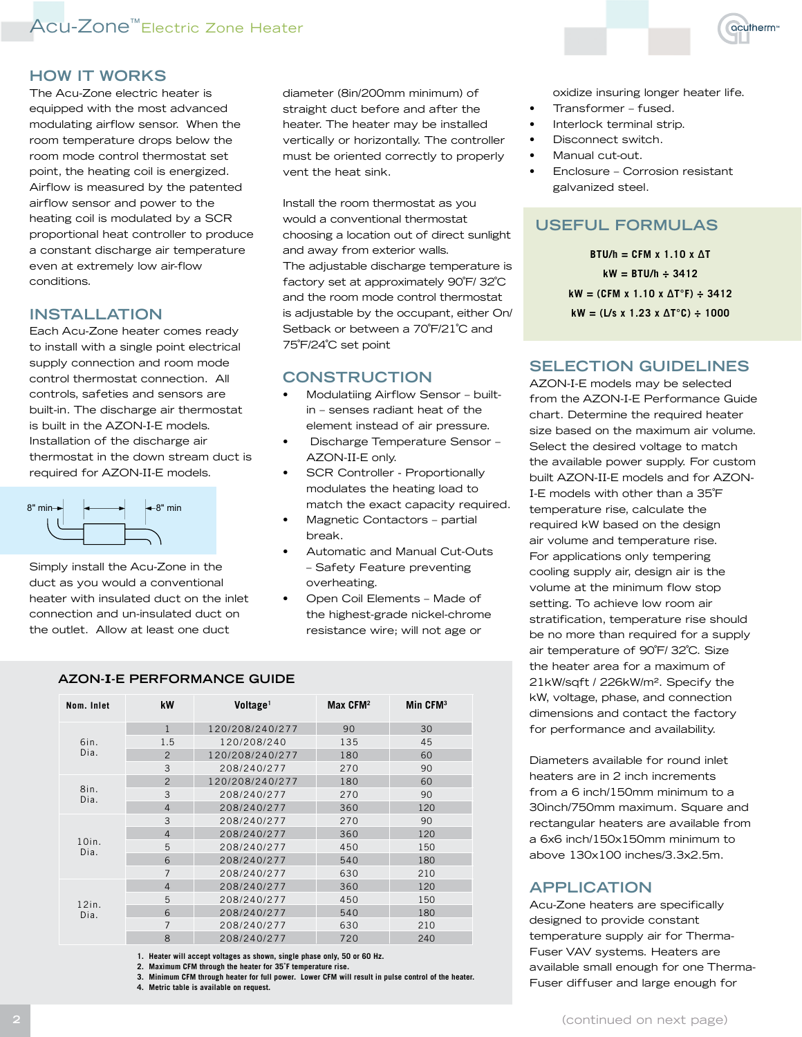### Acu-Zone™Electric Zone Heater

#### **HOW IT WORKS**

The Acu-Zone electric heater is equipped with the most advanced modulating airflow sensor. When the room temperature drops below the room mode control thermostat set point, the heating coil is energized. Airflow is measured by the patented airflow sensor and power to the heating coil is modulated by a SCR proportional heat controller to produce a constant discharge air temperature even at extremely low air-flow conditions.

#### **INSTALLATION**

.............................<br>Each Acu-Zone heater comes ready to install with a single point electrical supply connection and room mode control thermostat connection. All controls, safeties and sensors are built-in. The discharge air thermostat is built in the AZON-I-E models. Installation of the discharge air thermostat in the down stream duct is required for AZON-II-E models.



Simply install the Acu-Zone in the duct as you would a conventional heater with insulated duct on the inlet connection and un-insulated duct on the outlet. Allow at least one duct

diameter (8in/200mm minimum) of straight duct before and after the heater. The heater may be installed vertically or horizontally. The controller must be oriented correctly to properly vent the heat sink.

Install the room thermostat as you would a conventional thermostat choosing a location out of direct sunlight and away from exterior walls. The adjustable discharge temperature is factory set at approximately 90˚F/ 32˚C and the room mode control thermostat is adjustable by the occupant, either On/ Setback or between a 70°F/21°C and 75˚F/24˚C set point

#### **CONSTRUCTION**

- Modulatiing Airflow Sensor builtin – senses radiant heat of the element instead of air pressure.
- Discharge Temperature Sensor AZON-II-E only.
- SCR Controller Proportionally modulates the heating load to match the exact capacity required.
- Magnetic Contactors partial break.
- Automatic and Manual Cut-Outs – Safety Feature preventing overheating.
- Open Coil Elements Made of the highest-grade nickel-chrome resistance wire; will not age or

| Nom. Inlet       | kW             | Voltage <sup>1</sup> | Max CFM <sup>2</sup> | Min CFM <sup>3</sup> |
|------------------|----------------|----------------------|----------------------|----------------------|
|                  | $\mathbf{1}$   | 120/208/240/277      | 90                   | 30                   |
| 6in.             | 1.5            | 120/208/240          | 135                  | 45                   |
| Dia.             | $\mathcal{P}$  | 120/208/240/277      | 180                  | 60                   |
|                  | 3              | 208/240/277          | 270                  | 90                   |
|                  | $\overline{2}$ | 120/208/240/277      | 180                  | 60                   |
| 8in.<br>Dia.     | 3              | 208/240/277          | 270                  | 90                   |
|                  | $\overline{4}$ | 208/240/277          | 360                  | 120                  |
|                  | 3              | 208/240/277          | 270                  | 90                   |
|                  | $\overline{4}$ | 208/240/277          | 360                  | 120                  |
| $10$ in.<br>Dia. | 5              | 208/240/277          | 450                  | 150                  |
|                  | 6              | 208/240/277          | 540                  | 180                  |
|                  | $\overline{7}$ | 208/240/277          | 630                  | 210                  |
|                  | $\overline{4}$ | 208/240/277          | 360                  | 120                  |
| $12$ in.<br>Dia. | 5              | 208/240/277          | 450                  | 150                  |
|                  | 6              | 208/240/277          | 540                  | 180                  |
|                  | $\overline{7}$ | 208/240/277          | 630                  | 210                  |
|                  | 8              | 208/240/277          | 720                  | 240                  |

**AZON-I-E PERFORMANCE GUIDE**

**1. Heater will accept voltages as shown, single phase only, 50 or 60 Hz.**

**2. Maximum CFM through the heater for 35˚F temperature rise.**

**3. Minimum CFM through heater for full power. Lower CFM will result in pulse control of the heater.**

**4. Metric table is available on request.**



oxidize insuring longer heater life.

- Transformer fused.
- Interlock terminal strip.
- Disconnect switch.
- Manual cut-out.
- Enclosure Corrosion resistant galvanized steel.

#### **Useful Formulas**

**BTU/h = CFM x 1.10 x ΔT kW = BTU/h ÷ 3412 kW = (CFM x 1.10 x ΔT°F) ÷ 3412 kW = (L/s x 1.23 x ΔT°C) ÷ 1000**

#### **SELECTION GUIDELINES**

AZON-I-E models may be selected from the AZON-I-E Performance Guide chart. Determine the required heater size based on the maximum air volume. Select the desired voltage to match the available power supply. For custom built AZON-II-E models and for AZON-I-E models with other than a 35˚F temperature rise, calculate the required kW based on the design air volume and temperature rise. For applications only tempering cooling supply air, design air is the volume at the minimum flow stop setting. To achieve low room air stratification, temperature rise should be no more than required for a supply air temperature of 90˚F/ 32˚C. Size the heater area for a maximum of 21kW/sqft / 226kW/m2. Specify the kW, voltage, phase, and connection dimensions and contact the factory for performance and availability.

Diameters available for round inlet heaters are in 2 inch increments from a 6 inch/150mm minimum to a 30inch/750mm maximum. Square and rectangular heaters are available from a 6x6 inch/150x150mm minimum to above 130x100 inches/3.3x2.5m.

#### **APPLICATION**

Acu-Zone heaters are specifically designed to provide constant temperature supply air for Therma-Fuser VAV systems. Heaters are available small enough for one Therma-Fuser diffuser and large enough for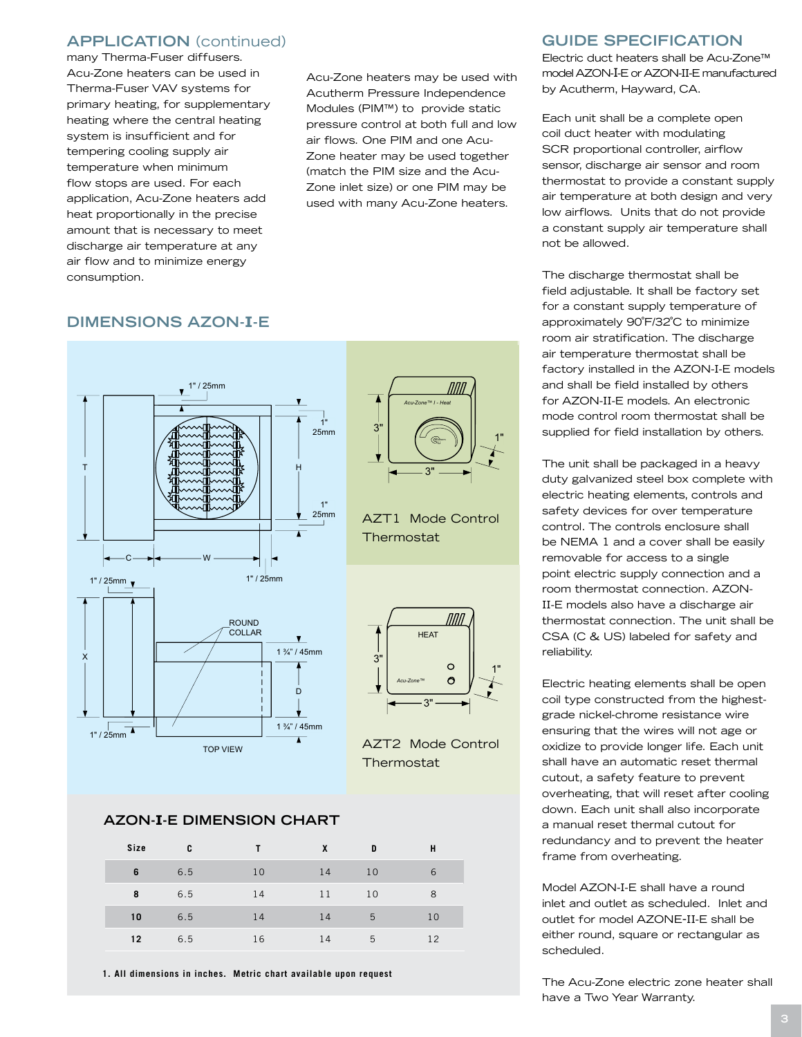#### **APPLICATION** (continued)

many Therma-Fuser diffusers. Acu-Zone heaters can be used in Therma-Fuser VAV systems for primary heating, for supplementary heating where the central heating system is insufficient and for tempering cooling supply air temperature when minimum flow stops are used. For each application, Acu-Zone heaters add heat proportionally in the precise amount that is necessary to meet discharge air temperature at any air flow and to minimize energy consumption.

Acu-Zone heaters may be used with Acutherm Pressure Independence Modules (PIM™) to provide static pressure control at both full and low air flows. One PIM and one Acu-Zone heater may be used together (match the PIM size and the Acu-Zone inlet size) or one PIM may be used with many Acu-Zone heaters.

#### **DIMENSIONS AZON-I-E**



# ППП

acutherm

MM

1"

*Acu-Zone™ I - Heat*

 $3"$ 

 $\overline{3}$ 

AZT1 Mode Control

Thermostat



AZT2 Mode Control **Thermostat** 

#### **AZON-I-E DIMENSION CHART**

| Size | C   |    | X  | D  | н  |
|------|-----|----|----|----|----|
| 6    | 6.5 | 10 | 14 | 10 | 6  |
| 8    | 6.5 | 14 | 11 | 10 | 8  |
| 10   | 6.5 | 14 | 14 | 5  | 10 |
| 12   | 6.5 | 16 | 14 | 5  | 12 |

**1. All dimensions in inches. Metric chart available upon request**

#### **GUIDE SPECIFICATION**

Electric duct heaters shall be Acu-Zone™ model AZON-I-E or AZON-II-E manufactured by Acutherm, Hayward, CA.

Each unit shall be a complete open coil duct heater with modulating SCR proportional controller, airflow sensor, discharge air sensor and room thermostat to provide a constant supply air temperature at both design and very low airflows. Units that do not provide a constant supply air temperature shall not be allowed.

The discharge thermostat shall be field adjustable. It shall be factory set for a constant supply temperature of approximately 90˚F/32˚C to minimize room air stratification. The discharge air temperature thermostat shall be factory installed in the AZON-I-E models and shall be field installed by others for AZON-II-E models. An electronic mode control room thermostat shall be supplied for field installation by others.

The unit shall be packaged in a heavy duty galvanized steel box complete with electric heating elements, controls and safety devices for over temperature control. The controls enclosure shall be NEMA 1 and a cover shall be easily removable for access to a single point electric supply connection and a room thermostat connection. AZON-II-E models also have a discharge air thermostat connection. The unit shall be CSA (C & US) labeled for safety and reliability.

> Electric heating elements shall be open coil type constructed from the highestgrade nickel-chrome resistance wire ensuring that the wires will not age or oxidize to provide longer life. Each unit shall have an automatic reset thermal cutout, a safety feature to prevent overheating, that will reset after cooling down. Each unit shall also incorporate a manual reset thermal cutout for redundancy and to prevent the heater frame from overheating.

Model AZON-I-E shall have a round inlet and outlet as scheduled. Inlet and outlet for model AZONE-II-E shall be either round, square or rectangular as scheduled.

The Acu-Zone electric zone heater shall have a Two Year Warranty.